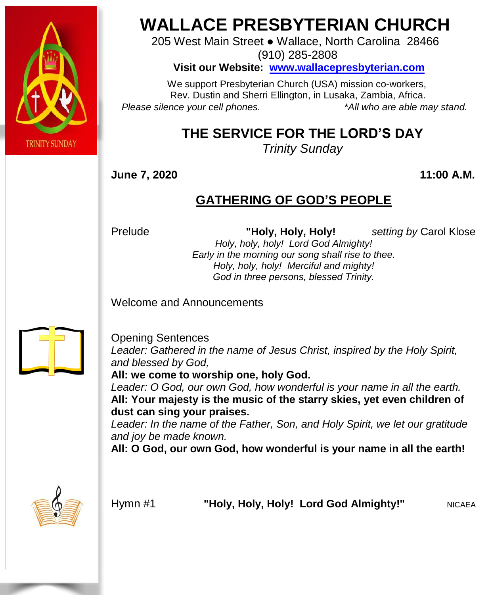

# **WALLACE PRESBYTERIAN CHURCH**

205 West Main Street ● Wallace, North Carolina 28466 (910) 285-2808

**Visit our Website: [www.wallacepresbyterian.com](http://www.wallacepresbyterian.com/)**

 We support Presbyterian Church (USA) mission co-workers, Rev. Dustin and Sherri Ellington, in Lusaka, Zambia, Africa. *Please silence your cell phones. \*All who are able may stand.*

## **THE SERVICE FOR THE LORD'S DAY**

*Trinity Sunday*

**June 7, 2020 11:00 A.M.**

#### **GATHERING OF GOD'S PEOPLE**

Prelude **"Holy, Holy, Holy!** *setting by* Carol Klose *Holy, holy, holy! Lord God Almighty!*

*Early in the morning our song shall rise to thee. Holy, holy, holy! Merciful and mighty! God in three persons, blessed Trinity.*

Welcome and Announcements



Opening Sentences *Leader: Gathered in the name of Jesus Christ, inspired by the Holy Spirit, and blessed by God,*

**All: we come to worship one, holy God.**

*Leader: O God, our own God, how wonderful is your name in all the earth.* **All: Your majesty is the music of the starry skies, yet even children of dust can sing your praises.**

*Leader: In the name of the Father, Son, and Holy Spirit, we let our gratitude and joy be made known.*

**All: O God, our own God, how wonderful is your name in all the earth!**



Hymn #1 **"Holy, Holy, Holy! Lord God Almighty!"** NICAEA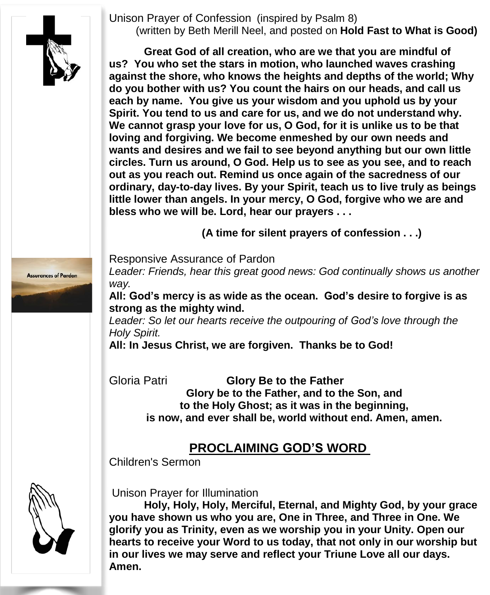Unison Prayer of Confession (inspired by Psalm 8) (written by Beth Merill Neel, and posted on **Hold Fast to What is Good)**



**Great God of all creation, who are we that you are mindful of us? You who set the stars in motion, who launched waves crashing against the shore, who knows the heights and depths of the world; Why do you bother with us? You count the hairs on our heads, and call us each by name. You give us your wisdom and you uphold us by your Spirit. You tend to us and care for us, and we do not understand why. We cannot grasp your love for us, O God, for it is unlike us to be that loving and forgiving. We become enmeshed by our own needs and wants and desires and we fail to see beyond anything but our own little circles. Turn us around, O God. Help us to see as you see, and to reach out as you reach out. Remind us once again of the sacredness of our ordinary, day-to-day lives. By your Spirit, teach us to live truly as beings little lower than angels. In your mercy, O God, forgive who we are and bless who we will be. Lord, hear our prayers . . .**

**(A time for silent prayers of confession . . .)**



*Leader: Friends, hear this great good news: God continually shows us another way.*

**All: God's mercy is as wide as the ocean. God's desire to forgive is as strong as the mighty wind.**

*Leader: So let our hearts receive the outpouring of God's love through the Holy Spirit.*

**All: In Jesus Christ, we are forgiven. Thanks be to God!**

Gloria Patri **Glory Be to the Father Glory be to the Father, and to the Son, and to the Holy Ghost; as it was in the beginning, is now, and ever shall be, world without end. Amen, amen.**

#### **PROCLAIMING GOD'S WORD**

Children's Sermon



Unison Prayer for Illumination

**Holy, Holy, Holy, Merciful, Eternal, and Mighty God, by your grace you have shown us who you are, One in Three, and Three in One. We glorify you as Trinity, even as we worship you in your Unity. Open our hearts to receive your Word to us today, that not only in our worship but in our lives we may serve and reflect your Triune Love all our days. Amen.**

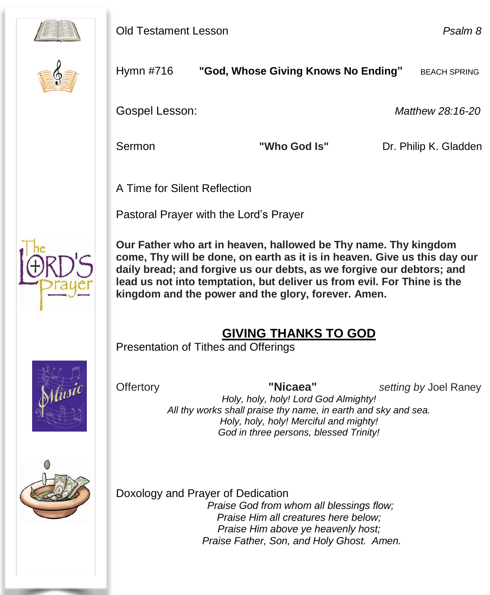



Hymn #716 **"God, Whose Giving Knows No Ending"** BEACH SPRING

Gospel Lesson: *Matthew 28:16-20*

Sermon **"Who God Is"** Dr. Philip K. Gladden

A Time for Silent Reflection

Pastoral Prayer with the Lord's Prayer



 **Our Father who art in heaven, hallowed be Thy name. Thy kingdom come, Thy will be done, on earth as it is in heaven. Give us this day our daily bread; and forgive us our debts, as we forgive our debtors; and lead us not into temptation, but deliver us from evil. For Thine is the kingdom and the power and the glory, forever. Amen.**

### **GIVING THANKS TO GOD**

Presentation of Tithes and Offerings



Offertory **"Nicaea"** *setting by* Joel Raney

*Holy, holy, holy! Lord God Almighty! All thy works shall praise thy name, in earth and sky and sea. Holy, holy, holy! Merciful and mighty! God in three persons, blessed Trinity!*



Doxology and Prayer of Dedication *Praise God from whom all blessings flow; Praise Him all creatures here below; Praise Him above ye heavenly host; Praise Father, Son, and Holy Ghost. Amen.*